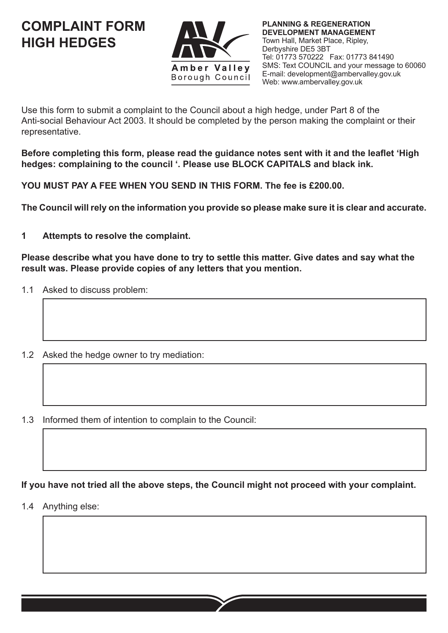**COMPLAINT FORM HIGH HEDGES**



**PLANNING & REGENERATION DEVELOPMENT MANAGEMENT** Town Hall, Market Place, Ripley, Derbyshire DE5 3BT Tel: 01773 570222 Fax: 01773 841490 SMS: Text COUNCIL and your message to 60060 E-mail: development@ambervalley.gov.uk Web: www.ambervalley.gov.uk

Use this form to submit a complaint to the Council about a high hedge, under Part 8 of the Anti-social Behaviour Act 2003. It should be completed by the person making the complaint or their representative.

**Before completing this form, please read the guidance notes sent with it and the leaflet 'High hedges: complaining to the council '. Please use BLOCK CAPITALS and black ink.**

**YOU MUST PAY A FEE WHEN YOU SEND IN THIS FORM. The fee is £200.00.**

**The Council will rely on the information you provide so please make sure it is clear and accurate.**

**1 Attempts to resolve the complaint.**

**Please describe what you have done to try to settle this matter. Give dates and say what the result was. Please provide copies of any letters that you mention.**

- 1.1 Asked to discuss problem:
- 1.2 Asked the hedge owner to try mediation:
- 1.3 Informed them of intention to complain to the Council:

**If you have not tried all the above steps, the Council might not proceed with your complaint.**

1.4 Anything else: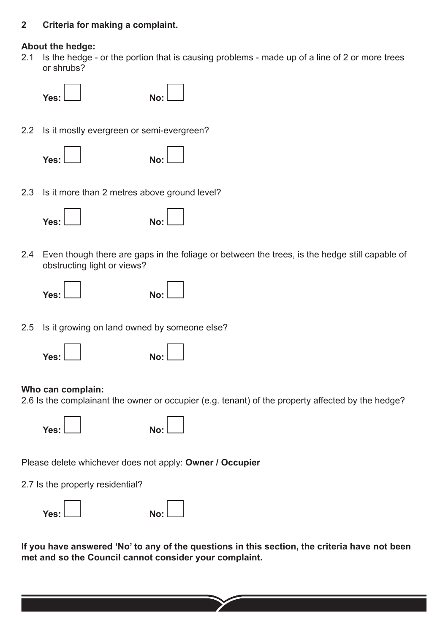## **2 Criteria for making a complaint.**

### **About the hedge:**

2.1 Is the hedge - or the portion that is causing problems - made up of a line of 2 or more trees or shrubs?



2.2 Is it mostly evergreen or semi-evergreen?

| Yes: L | No: |
|--------|-----|
|        |     |
|        |     |

2.3 Is it more than 2 metres above ground level?



2.4 Even though there are gaps in the foliage or between the trees, is the hedge still capable of obstructing light or views?

| Yes: $L$ | No: |
|----------|-----|

2.5 Is it growing on land owned by someone else?

| Yes: L | No: |
|--------|-----|
|        |     |

## **Who can complain:**

2.6 Is the complainant the owner or occupier (e.g. tenant) of the property affected by the hedge?

**Yes: No:**

Please delete whichever does not apply: **Owner / Occupier**

2.7 Is the property residential?

| Yes: L | No: |
|--------|-----|
|        |     |



**If you have answered 'No' to any of the questions in this section, the criteria have not been met and so the Council cannot consider your complaint.**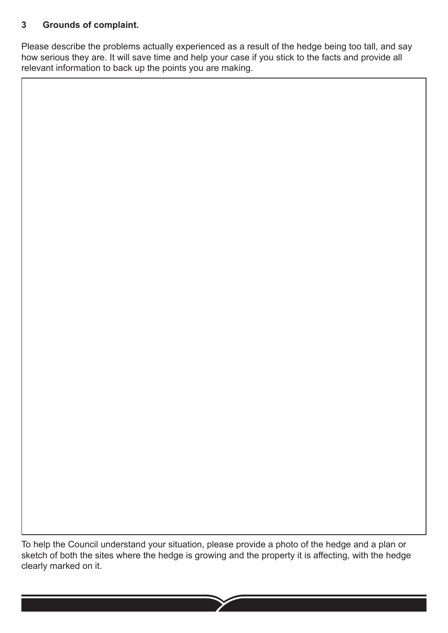# **3 Grounds of complaint.**

Please describe the problems actually experienced as a result of the hedge being too tall, and say how serious they are. It will save time and help your case if you stick to the facts and provide all relevant information to back up the points you are making.

To help the Council understand your situation, please provide a photo of the hedge and a plan or sketch of both the sites where the hedge is growing and the property it is affecting, with the hedge clearly marked on it.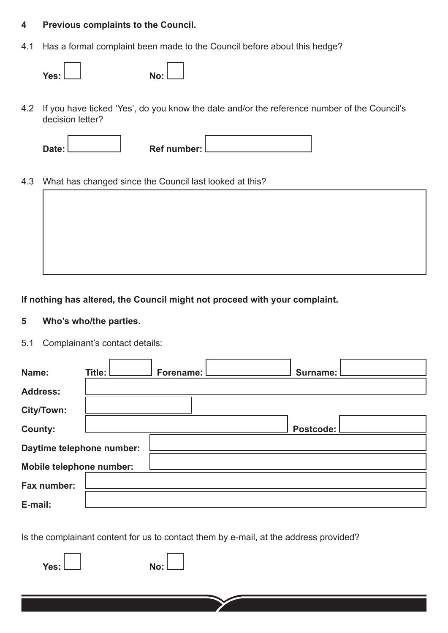### **4 Previous complaints to the Council.**

4.1 Has a formal complaint been made to the Council before about this hedge?

| Yes: L | No: |
|--------|-----|

4.2 If you have ticked 'Yes', do you know the date and/or the reference number of the Council's decision letter?

| Ref number: |  |
|-------------|--|

4.3 What has changed since the Council last looked at this?



**If nothing has altered, the Council might not proceed with your complaint.**

### **5 Who's who/the parties.**

5.1 Complainant's contact details:

| Name:                     | Title: I | Forename: | Surname:  |
|---------------------------|----------|-----------|-----------|
| <b>Address:</b>           |          |           |           |
| City/Town:                |          |           |           |
| <b>County:</b>            |          |           | Postcode: |
| Daytime telephone number: |          |           |           |
| Mobile telephone number:  |          |           |           |
| Fax number:               |          |           |           |
| E-mail:                   |          |           |           |

Is the complainant content for us to contact them by e-mail, at the address provided?

**Yes: No:**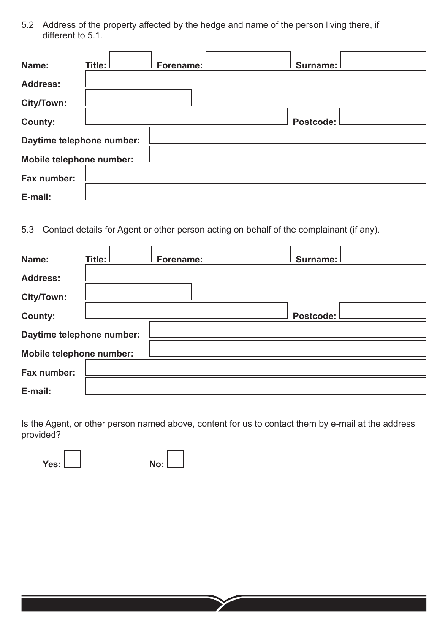5.2 Address of the property affected by the hedge and name of the person living there, if different to 5.1.

| Name:                     | Title: | Forename: I | Surname: I |  |
|---------------------------|--------|-------------|------------|--|
| <b>Address:</b>           |        |             |            |  |
| City/Town:                |        |             |            |  |
| <b>County:</b>            |        |             | Postcode:  |  |
| Daytime telephone number: |        |             |            |  |
| Mobile telephone number:  |        |             |            |  |
| Fax number:               |        |             |            |  |
| E-mail:                   |        |             |            |  |

5.3 Contact details for Agent or other person acting on behalf of the complainant (if any).

| Name:                     | Title: | Forename: | Surname:  |
|---------------------------|--------|-----------|-----------|
| <b>Address:</b>           |        |           |           |
| City/Town:                |        |           |           |
| <b>County:</b>            |        |           | Postcode: |
| Daytime telephone number: |        |           |           |
| Mobile telephone number:  |        |           |           |
| Fax number:               |        |           |           |
| E-mail:                   |        |           |           |

Is the Agent, or other person named above, content for us to contact them by e-mail at the address provided?

**Yes: No: No:**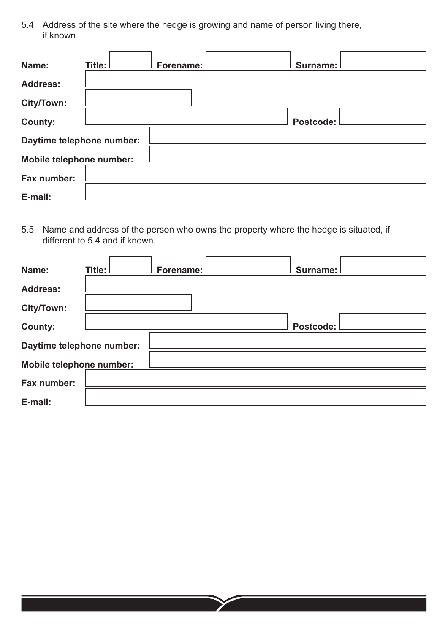5.4 Address of the site where the hedge is growing and name of person living there, if known.

| Name:                     | Title: | Forename: I | Surname: I |  |
|---------------------------|--------|-------------|------------|--|
| <b>Address:</b>           |        |             |            |  |
| City/Town:                |        |             |            |  |
| <b>County:</b>            |        |             | Postcode:  |  |
| Daytime telephone number: |        |             |            |  |
| Mobile telephone number:  |        |             |            |  |
| Fax number:               |        |             |            |  |
| E-mail:                   |        |             |            |  |

5.5 Name and address of the person who owns the property where the hedge is situated, if different to 5.4 and if known.

| Name:                     | Title: I |  | Forename: |  | Surname: I |  |
|---------------------------|----------|--|-----------|--|------------|--|
| <b>Address:</b>           |          |  |           |  |            |  |
| City/Town:                |          |  |           |  |            |  |
| <b>County:</b>            |          |  |           |  | Postcode:  |  |
| Daytime telephone number: |          |  |           |  |            |  |
| Mobile telephone number:  |          |  |           |  |            |  |
| Fax number:               |          |  |           |  |            |  |
| E-mail:                   |          |  |           |  |            |  |